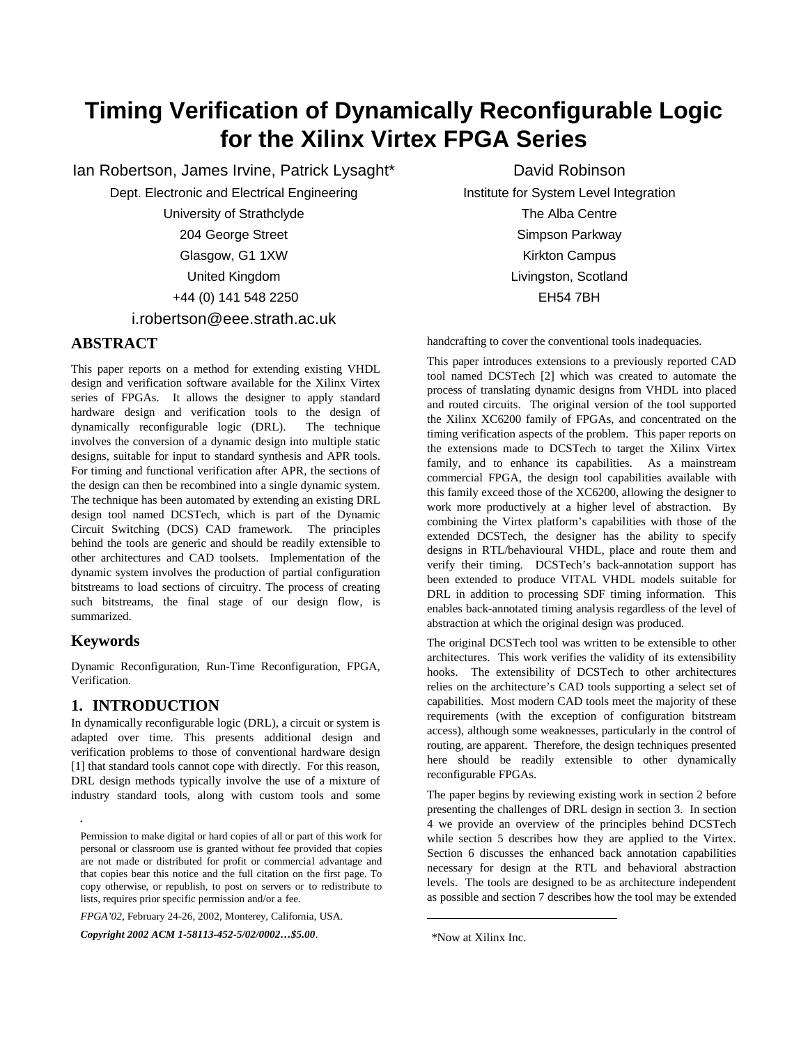# **Timing Verification of Dynamically Reconfigurable Logic for the Xilinx Virtex FPGA Series**

Ian Robertson, James Irvine, Patrick Lysaght\* Dept. Electronic and Electrical Engineering University of Strathclyde 204 George Street Glasgow, G1 1XW United Kingdom +44 (0) 141 548 2250 i.robertson@eee.strath.ac.uk

# **ABSTRACT**

This paper reports on a method for extending existing VHDL design and verification software available for the Xilinx Virtex series of FPGAs. It allows the designer to apply standard hardware design and verification tools to the design of dynamically reconfigurable logic (DRL). The technique involves the conversion of a dynamic design into multiple static designs, suitable for input to standard synthesis and APR tools. For timing and functional verification after APR, the sections of the design can then be recombined into a single dynamic system. The technique has been automated by extending an existing DRL design tool named DCSTech, which is part of the Dynamic Circuit Switching (DCS) CAD framework. The principles behind the tools are generic and should be readily extensible to other architectures and CAD toolsets. Implementation of the dynamic system involves the production of partial configuration bitstreams to load sections of circuitry. The process of creating such bitstreams, the final stage of our design flow, is summarized.

### **Keywords**

*.*

Dynamic Reconfiguration, Run-Time Reconfiguration, FPGA, Verification.

# **1. INTRODUCTION**

In dynamically reconfigurable logic (DRL), a circuit or system is adapted over time. This presents additional design and verification problems to those of conventional hardware design [1] that standard tools cannot cope with directly. For this reason, DRL design methods typically involve the use of a mixture of industry standard tools, along with custom tools and some

*FPGA'02*, February 24-26, 2002, Monterey, California, USA.

*Copyright 2002 ACM 1-58113-452-5/02/0002…\$5.00*.

David Robinson Institute for System Level Integration The Alba Centre Simpson Parkway Kirkton Campus Livingston, Scotland EH54 7BH

handcrafting to cover the conventional tools inadequacies.

This paper introduces extensions to a previously reported CAD tool named DCSTech [2] which was created to automate the process of translating dynamic designs from VHDL into placed and routed circuits. The original version of the tool supported the Xilinx XC6200 family of FPGAs, and concentrated on the timing verification aspects of the problem. This paper reports on the extensions made to DCSTech to target the Xilinx Virtex family, and to enhance its capabilities. As a mainstream commercial FPGA, the design tool capabilities available with this family exceed those of the XC6200, allowing the designer to work more productively at a higher level of abstraction. By combining the Virtex platform's capabilities with those of the extended DCSTech, the designer has the ability to specify designs in RTL/behavioural VHDL, place and route them and verify their timing. DCSTech's back-annotation support has been extended to produce VITAL VHDL models suitable for DRL in addition to processing SDF timing information. This enables back-annotated timing analysis regardless of the level of abstraction at which the original design was produced.

The original DCSTech tool was written to be extensible to other architectures. This work verifies the validity of its extensibility hooks. The extensibility of DCSTech to other architectures relies on the architecture's CAD tools supporting a select set of capabilities. Most modern CAD tools meet the majority of these requirements (with the exception of configuration bitstream access), although some weaknesses, particularly in the control of routing, are apparent. Therefore, the design techniques presented here should be readily extensible to other dynamically reconfigurable FPGAs.

The paper begins by reviewing existing work in section 2 before presenting the challenges of DRL design in section 3. In section 4 we provide an overview of the principles behind DCSTech while section 5 describes how they are applied to the Virtex. Section 6 discusses the enhanced back annotation capabilities necessary for design at the RTL and behavioral abstraction levels. The tools are designed to be as architecture independent as possible and section 7 describes how the tool may be extended

 $\overline{a}$ 

Permission to make digital or hard copies of all or part of this work for personal or classroom use is granted without fee provided that copies are not made or distributed for profit or commercial advantage and that copies bear this notice and the full citation on the first page. To copy otherwise, or republish, to post on servers or to redistribute to lists, requires prior specific permission and/or a fee.

 <sup>\*</sup>Now at Xilinx Inc.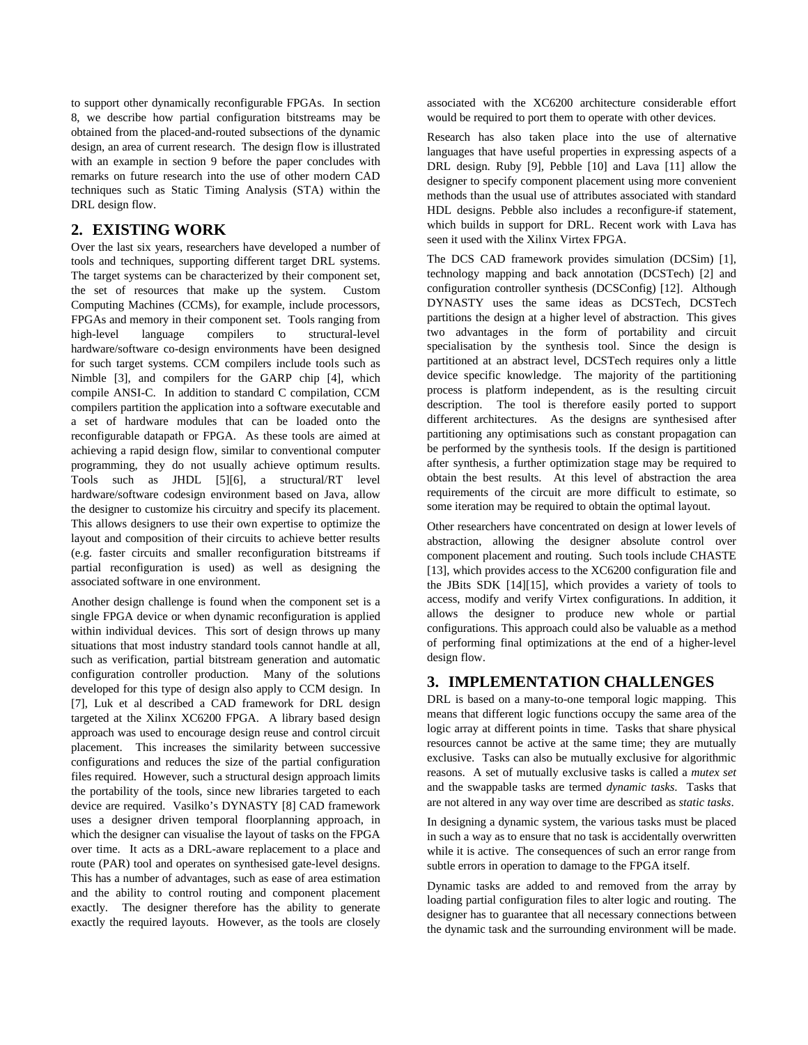to support other dynamically reconfigurable FPGAs. In section 8, we describe how partial configuration bitstreams may be obtained from the placed-and-routed subsections of the dynamic design, an area of current research. The design flow is illustrated with an example in section 9 before the paper concludes with remarks on future research into the use of other modern CAD techniques such as Static Timing Analysis (STA) within the DRL design flow.

# **2. EXISTING WORK**

Over the last six years, researchers have developed a number of tools and techniques, supporting different target DRL systems. The target systems can be characterized by their component set, the set of resources that make up the system. Custom Computing Machines (CCMs), for example, include processors, FPGAs and memory in their component set. Tools ranging from high-level language compilers to structural-level hardware/software co-design environments have been designed for such target systems. CCM compilers include tools such as Nimble [3], and compilers for the GARP chip [4], which compile ANSI-C. In addition to standard C compilation, CCM compilers partition the application into a software executable and a set of hardware modules that can be loaded onto the reconfigurable datapath or FPGA. As these tools are aimed at achieving a rapid design flow, similar to conventional computer programming, they do not usually achieve optimum results. Tools such as JHDL [5][6], a structural/RT level hardware/software codesign environment based on Java, allow the designer to customize his circuitry and specify its placement. This allows designers to use their own expertise to optimize the layout and composition of their circuits to achieve better results (e.g. faster circuits and smaller reconfiguration bitstreams if partial reconfiguration is used) as well as designing the associated software in one environment.

Another design challenge is found when the component set is a single FPGA device or when dynamic reconfiguration is applied within individual devices. This sort of design throws up many situations that most industry standard tools cannot handle at all, such as verification, partial bitstream generation and automatic configuration controller production. Many of the solutions developed for this type of design also apply to CCM design. In [7], Luk et al described a CAD framework for DRL design targeted at the Xilinx XC6200 FPGA. A library based design approach was used to encourage design reuse and control circuit placement. This increases the similarity between successive configurations and reduces the size of the partial configuration files required. However, such a structural design approach limits the portability of the tools, since new libraries targeted to each device are required. Vasilko's DYNASTY [8] CAD framework uses a designer driven temporal floorplanning approach, in which the designer can visualise the layout of tasks on the FPGA over time. It acts as a DRL-aware replacement to a place and route (PAR) tool and operates on synthesised gate-level designs. This has a number of advantages, such as ease of area estimation and the ability to control routing and component placement exactly. The designer therefore has the ability to generate exactly the required layouts. However, as the tools are closely associated with the XC6200 architecture considerable effort would be required to port them to operate with other devices.

Research has also taken place into the use of alternative languages that have useful properties in expressing aspects of a DRL design. Ruby [9], Pebble [10] and Lava [11] allow the designer to specify component placement using more convenient methods than the usual use of attributes associated with standard HDL designs. Pebble also includes a reconfigure-if statement, which builds in support for DRL. Recent work with Lava has seen it used with the Xilinx Virtex FPGA.

The DCS CAD framework provides simulation (DCSim) [1], technology mapping and back annotation (DCSTech) [2] and configuration controller synthesis (DCSConfig) [12]. Although DYNASTY uses the same ideas as DCSTech, DCSTech partitions the design at a higher level of abstraction. This gives two advantages in the form of portability and circuit specialisation by the synthesis tool. Since the design is partitioned at an abstract level, DCSTech requires only a little device specific knowledge. The majority of the partitioning process is platform independent, as is the resulting circuit description. The tool is therefore easily ported to support different architectures. As the designs are synthesised after partitioning any optimisations such as constant propagation can be performed by the synthesis tools. If the design is partitioned after synthesis, a further optimization stage may be required to obtain the best results. At this level of abstraction the area requirements of the circuit are more difficult to estimate, so some iteration may be required to obtain the optimal layout.

Other researchers have concentrated on design at lower levels of abstraction, allowing the designer absolute control over component placement and routing. Such tools include CHASTE [13], which provides access to the XC6200 configuration file and the JBits SDK [14][15], which provides a variety of tools to access, modify and verify Virtex configurations. In addition, it allows the designer to produce new whole or partial configurations. This approach could also be valuable as a method of performing final optimizations at the end of a higher-level design flow.

### **3. IMPLEMENTATION CHALLENGES**

DRL is based on a many-to-one temporal logic mapping. This means that different logic functions occupy the same area of the logic array at different points in time. Tasks that share physical resources cannot be active at the same time; they are mutually exclusive. Tasks can also be mutually exclusive for algorithmic reasons. A set of mutually exclusive tasks is called a *mutex set* and the swappable tasks are termed *dynamic tasks*. Tasks that are not altered in any way over time are described as *static tasks*.

In designing a dynamic system, the various tasks must be placed in such a way as to ensure that no task is accidentally overwritten while it is active. The consequences of such an error range from subtle errors in operation to damage to the FPGA itself.

Dynamic tasks are added to and removed from the array by loading partial configuration files to alter logic and routing. The designer has to guarantee that all necessary connections between the dynamic task and the surrounding environment will be made.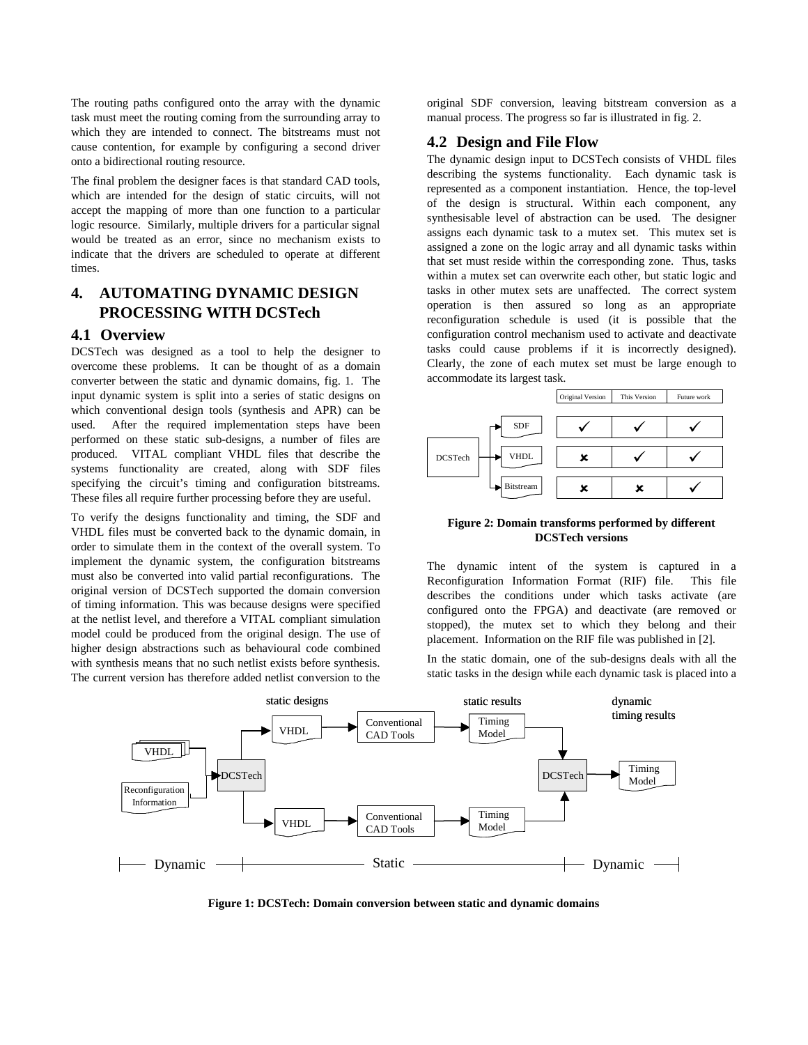The routing paths configured onto the array with the dynamic task must meet the routing coming from the surrounding array to which they are intended to connect. The bitstreams must not cause contention, for example by configuring a second driver onto a bidirectional routing resource.

The final problem the designer faces is that standard CAD tools, which are intended for the design of static circuits, will not accept the mapping of more than one function to a particular logic resource. Similarly, multiple drivers for a particular signal would be treated as an error, since no mechanism exists to indicate that the drivers are scheduled to operate at different times.

# **4. AUTOMATING DYNAMIC DESIGN PROCESSING WITH DCSTech**

#### **4.1 Overview**

DCSTech was designed as a tool to help the designer to overcome these problems. It can be thought of as a domain converter between the static and dynamic domains, fig. 1. The input dynamic system is split into a series of static designs on which conventional design tools (synthesis and APR) can be used. After the required implementation steps have been performed on these static sub-designs, a number of files are produced. VITAL compliant VHDL files that describe the systems functionality are created, along with SDF files specifying the circuit's timing and configuration bitstreams. These files all require further processing before they are useful.

To verify the designs functionality and timing, the SDF and VHDL files must be converted back to the dynamic domain, in order to simulate them in the context of the overall system. To implement the dynamic system, the configuration bitstreams must also be converted into valid partial reconfigurations. The original version of DCSTech supported the domain conversion of timing information. This was because designs were specified at the netlist level, and therefore a VITAL compliant simulation model could be produced from the original design. The use of higher design abstractions such as behavioural code combined with synthesis means that no such netlist exists before synthesis. The current version has therefore added netlist conversion to the

original SDF conversion, leaving bitstream conversion as a manual process. The progress so far is illustrated in fig. 2.

### **4.2 Design and File Flow**

The dynamic design input to DCSTech consists of VHDL files describing the systems functionality. Each dynamic task is represented as a component instantiation. Hence, the top-level of the design is structural. Within each component, any synthesisable level of abstraction can be used. The designer assigns each dynamic task to a mutex set. This mutex set is assigned a zone on the logic array and all dynamic tasks within that set must reside within the corresponding zone. Thus, tasks within a mutex set can overwrite each other, but static logic and tasks in other mutex sets are unaffected. The correct system operation is then assured so long as an appropriate reconfiguration schedule is used (it is possible that the configuration control mechanism used to activate and deactivate tasks could cause problems if it is incorrectly designed). Clearly, the zone of each mutex set must be large enough to accommodate its largest task.



#### **Figure 2: Domain transforms performed by different DCSTech versions**

The dynamic intent of the system is captured in a Reconfiguration Information Format (RIF) file. This file describes the conditions under which tasks activate (are configured onto the FPGA) and deactivate (are removed or stopped), the mutex set to which they belong and their placement. Information on the RIF file was published in [2].

In the static domain, one of the sub-designs deals with all the static tasks in the design while each dynamic task is placed into a



**Figure 1: DCSTech: Domain conversion between static and dynamic domains**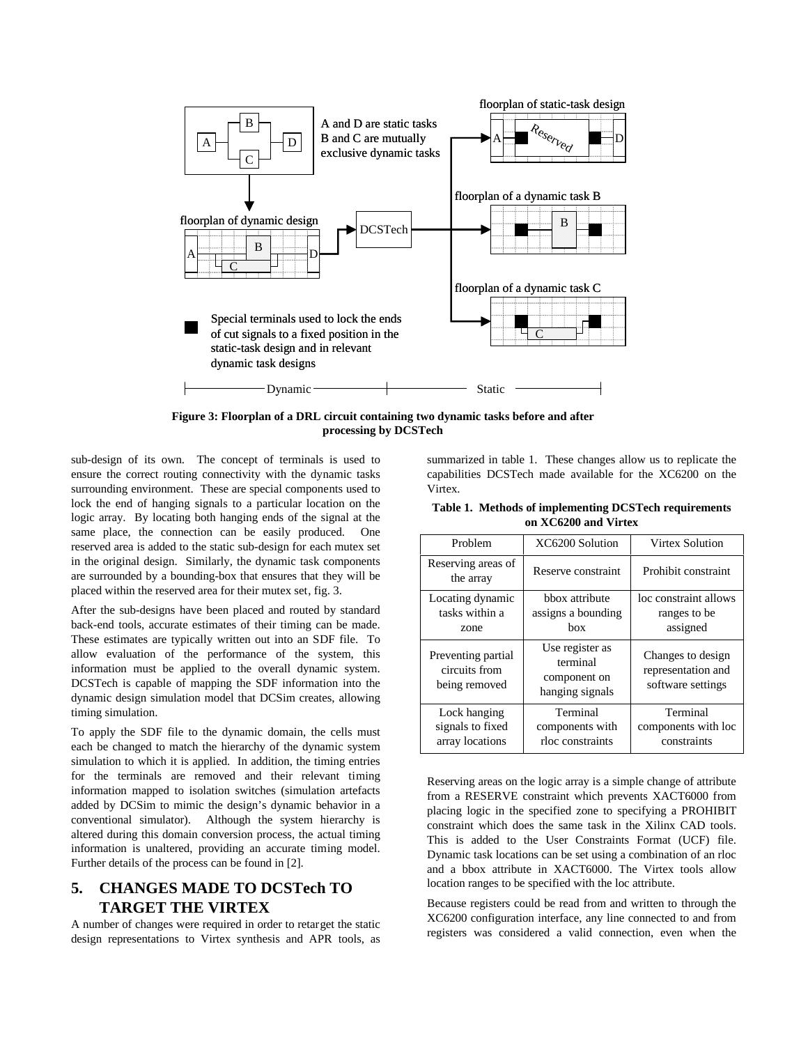

**Figure 3: Floorplan of a DRL circuit containing two dynamic tasks before and after processing by DCSTech** 

sub-design of its own. The concept of terminals is used to ensure the correct routing connectivity with the dynamic tasks surrounding environment. These are special components used to lock the end of hanging signals to a particular location on the logic array. By locating both hanging ends of the signal at the same place, the connection can be easily produced. One reserved area is added to the static sub-design for each mutex set in the original design. Similarly, the dynamic task components are surrounded by a bounding-box that ensures that they will be placed within the reserved area for their mutex set, fig. 3.

After the sub-designs have been placed and routed by standard back-end tools, accurate estimates of their timing can be made. These estimates are typically written out into an SDF file. To allow evaluation of the performance of the system, this information must be applied to the overall dynamic system. DCSTech is capable of mapping the SDF information into the dynamic design simulation model that DCSim creates, allowing timing simulation.

To apply the SDF file to the dynamic domain, the cells must each be changed to match the hierarchy of the dynamic system simulation to which it is applied. In addition, the timing entries for the terminals are removed and their relevant timing information mapped to isolation switches (simulation artefacts added by DCSim to mimic the design's dynamic behavior in a conventional simulator). Although the system hierarchy is altered during this domain conversion process, the actual timing information is unaltered, providing an accurate timing model. Further details of the process can be found in [2].

# **5. CHANGES MADE TO DCSTech TO TARGET THE VIRTEX**

A number of changes were required in order to retarget the static design representations to Virtex synthesis and APR tools, as

summarized in table 1. These changes allow us to replicate the capabilities DCSTech made available for the XC6200 on the Virtex.

|                      | Table 1. Methods of implementing DCSTech requirements |  |  |
|----------------------|-------------------------------------------------------|--|--|
| on XC6200 and Virtex |                                                       |  |  |

| Problem                                              | XC6200 Solution                                                | Virtex Solution                                              |
|------------------------------------------------------|----------------------------------------------------------------|--------------------------------------------------------------|
| Reserving areas of<br>the array                      | Reserve constraint                                             | Prohibit constraint                                          |
| Locating dynamic<br>tasks within a<br>zone           | bbox attribute<br>assigns a bounding<br>hox                    | loc constraint allows<br>ranges to be<br>assigned            |
| Preventing partial<br>circuits from<br>being removed | Use register as<br>terminal<br>component on<br>hanging signals | Changes to design<br>representation and<br>software settings |
| Lock hanging<br>signals to fixed<br>array locations  | Terminal<br>components with<br>rloc constraints                | Terminal<br>components with loc<br>constraints               |

Reserving areas on the logic array is a simple change of attribute from a RESERVE constraint which prevents XACT6000 from placing logic in the specified zone to specifying a PROHIBIT constraint which does the same task in the Xilinx CAD tools. This is added to the User Constraints Format (UCF) file. Dynamic task locations can be set using a combination of an rloc and a bbox attribute in XACT6000. The Virtex tools allow location ranges to be specified with the loc attribute.

Because registers could be read from and written to through the XC6200 configuration interface, any line connected to and from registers was considered a valid connection, even when the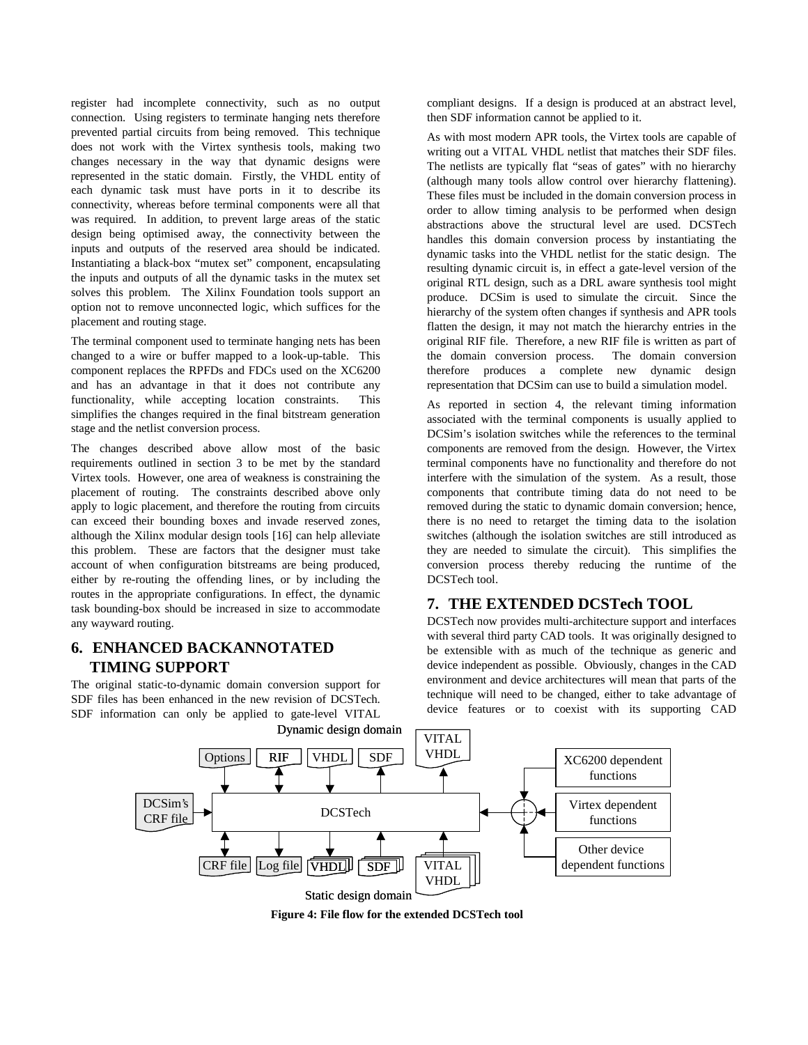register had incomplete connectivity, such as no output connection. Using registers to terminate hanging nets therefore prevented partial circuits from being removed. This technique does not work with the Virtex synthesis tools, making two changes necessary in the way that dynamic designs were represented in the static domain. Firstly, the VHDL entity of each dynamic task must have ports in it to describe its connectivity, whereas before terminal components were all that was required. In addition, to prevent large areas of the static design being optimised away, the connectivity between the inputs and outputs of the reserved area should be indicated. Instantiating a black-box "mutex set" component, encapsulating the inputs and outputs of all the dynamic tasks in the mutex set solves this problem. The Xilinx Foundation tools support an option not to remove unconnected logic, which suffices for the placement and routing stage.

The terminal component used to terminate hanging nets has been changed to a wire or buffer mapped to a look-up-table. This component replaces the RPFDs and FDCs used on the XC6200 and has an advantage in that it does not contribute any functionality, while accepting location constraints. This simplifies the changes required in the final bitstream generation stage and the netlist conversion process.

The changes described above allow most of the basic requirements outlined in section 3 to be met by the standard Virtex tools. However, one area of weakness is constraining the placement of routing. The constraints described above only apply to logic placement, and therefore the routing from circuits can exceed their bounding boxes and invade reserved zones, although the Xilinx modular design tools [16] can help alleviate this problem. These are factors that the designer must take account of when configuration bitstreams are being produced, either by re-routing the offending lines, or by including the routes in the appropriate configurations. In effect, the dynamic task bounding-box should be increased in size to accommodate any wayward routing.

# **6. ENHANCED BACKANNOTATED TIMING SUPPORT**

The original static-to-dynamic domain conversion support for SDF files has been enhanced in the new revision of DCSTech. SDF information can only be applied to gate-level VITAL

compliant designs. If a design is produced at an abstract level, then SDF information cannot be applied to it.

As with most modern APR tools, the Virtex tools are capable of writing out a VITAL VHDL netlist that matches their SDF files. The netlists are typically flat "seas of gates" with no hierarchy (although many tools allow control over hierarchy flattening). These files must be included in the domain conversion process in order to allow timing analysis to be performed when design abstractions above the structural level are used. DCSTech handles this domain conversion process by instantiating the dynamic tasks into the VHDL netlist for the static design. The resulting dynamic circuit is, in effect a gate-level version of the original RTL design, such as a DRL aware synthesis tool might produce. DCSim is used to simulate the circuit. Since the hierarchy of the system often changes if synthesis and APR tools flatten the design, it may not match the hierarchy entries in the original RIF file. Therefore, a new RIF file is written as part of the domain conversion process. The domain conversion therefore produces a complete new dynamic design representation that DCSim can use to build a simulation model.

As reported in section 4, the relevant timing information associated with the terminal components is usually applied to DCSim's isolation switches while the references to the terminal components are removed from the design. However, the Virtex terminal components have no functionality and therefore do not interfere with the simulation of the system. As a result, those components that contribute timing data do not need to be removed during the static to dynamic domain conversion; hence, there is no need to retarget the timing data to the isolation switches (although the isolation switches are still introduced as they are needed to simulate the circuit). This simplifies the conversion process thereby reducing the runtime of the DCSTech tool.

### **7. THE EXTENDED DCSTech TOOL**

DCSTech now provides multi-architecture support and interfaces with several third party CAD tools. It was originally designed to be extensible with as much of the technique as generic and device independent as possible. Obviously, changes in the CAD environment and device architectures will mean that parts of the technique will need to be changed, either to take advantage of device features or to coexist with its supporting CAD



**Figure 4: File flow for the extended DCSTech tool**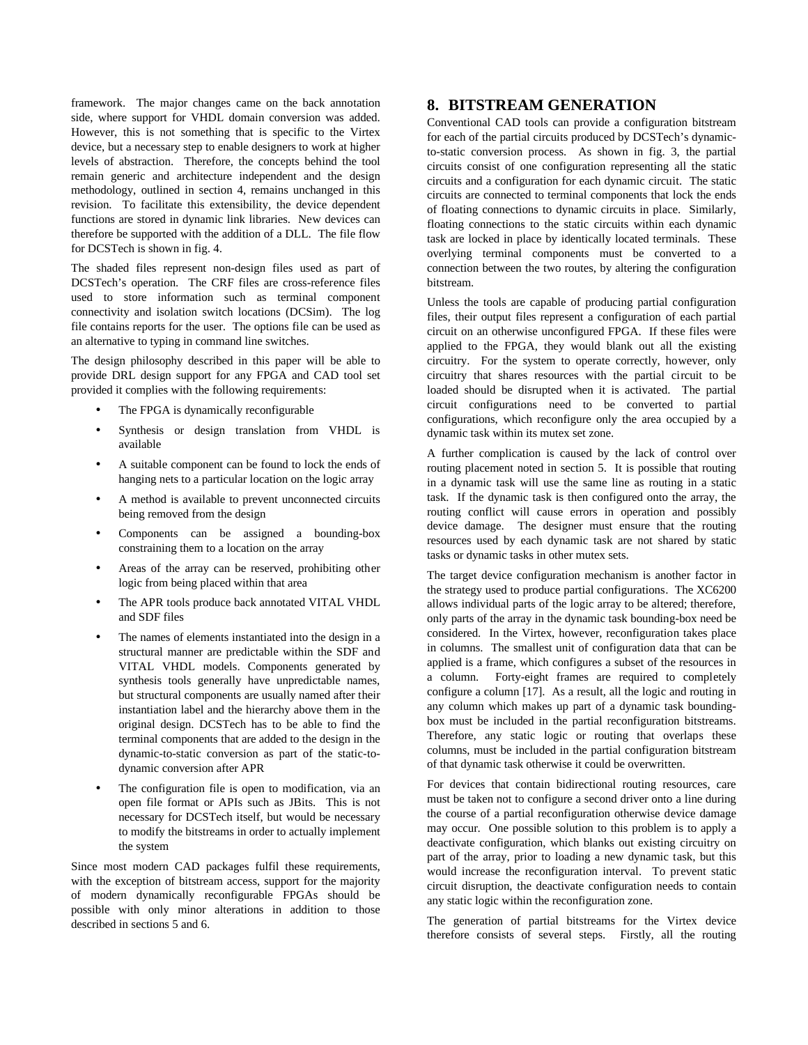framework. The major changes came on the back annotation side, where support for VHDL domain conversion was added. However, this is not something that is specific to the Virtex device, but a necessary step to enable designers to work at higher levels of abstraction. Therefore, the concepts behind the tool remain generic and architecture independent and the design methodology, outlined in section 4, remains unchanged in this revision. To facilitate this extensibility, the device dependent functions are stored in dynamic link libraries. New devices can therefore be supported with the addition of a DLL. The file flow for DCSTech is shown in fig. 4.

The shaded files represent non-design files used as part of DCSTech's operation. The CRF files are cross-reference files used to store information such as terminal component connectivity and isolation switch locations (DCSim). The log file contains reports for the user. The options file can be used as an alternative to typing in command line switches.

The design philosophy described in this paper will be able to provide DRL design support for any FPGA and CAD tool set provided it complies with the following requirements:

- The FPGA is dynamically reconfigurable
- Synthesis or design translation from VHDL is available
- A suitable component can be found to lock the ends of hanging nets to a particular location on the logic array
- A method is available to prevent unconnected circuits being removed from the design
- Components can be assigned a bounding-box constraining them to a location on the array
- Areas of the array can be reserved, prohibiting other logic from being placed within that area
- The APR tools produce back annotated VITAL VHDL and SDF files
- The names of elements instantiated into the design in a structural manner are predictable within the SDF and VITAL VHDL models. Components generated by synthesis tools generally have unpredictable names, but structural components are usually named after their instantiation label and the hierarchy above them in the original design. DCSTech has to be able to find the terminal components that are added to the design in the dynamic-to-static conversion as part of the static-todynamic conversion after APR
- The configuration file is open to modification, via an open file format or APIs such as JBits. This is not necessary for DCSTech itself, but would be necessary to modify the bitstreams in order to actually implement the system

Since most modern CAD packages fulfil these requirements, with the exception of bitstream access, support for the majority of modern dynamically reconfigurable FPGAs should be possible with only minor alterations in addition to those described in sections 5 and 6.

### **8. BITSTREAM GENERATION**

Conventional CAD tools can provide a configuration bitstream for each of the partial circuits produced by DCSTech's dynamicto-static conversion process. As shown in fig. 3, the partial circuits consist of one configuration representing all the static circuits and a configuration for each dynamic circuit. The static circuits are connected to terminal components that lock the ends of floating connections to dynamic circuits in place. Similarly, floating connections to the static circuits within each dynamic task are locked in place by identically located terminals. These overlying terminal components must be converted to a connection between the two routes, by altering the configuration bitstream.

Unless the tools are capable of producing partial configuration files, their output files represent a configuration of each partial circuit on an otherwise unconfigured FPGA. If these files were applied to the FPGA, they would blank out all the existing circuitry. For the system to operate correctly, however, only circuitry that shares resources with the partial circuit to be loaded should be disrupted when it is activated. The partial circuit configurations need to be converted to partial configurations, which reconfigure only the area occupied by a dynamic task within its mutex set zone.

A further complication is caused by the lack of control over routing placement noted in section 5. It is possible that routing in a dynamic task will use the same line as routing in a static task. If the dynamic task is then configured onto the array, the routing conflict will cause errors in operation and possibly device damage. The designer must ensure that the routing resources used by each dynamic task are not shared by static tasks or dynamic tasks in other mutex sets.

The target device configuration mechanism is another factor in the strategy used to produce partial configurations. The XC6200 allows individual parts of the logic array to be altered; therefore, only parts of the array in the dynamic task bounding-box need be considered. In the Virtex, however, reconfiguration takes place in columns. The smallest unit of configuration data that can be applied is a frame, which configures a subset of the resources in a column. Forty-eight frames are required to completely configure a column [17]. As a result, all the logic and routing in any column which makes up part of a dynamic task boundingbox must be included in the partial reconfiguration bitstreams. Therefore, any static logic or routing that overlaps these columns, must be included in the partial configuration bitstream of that dynamic task otherwise it could be overwritten.

For devices that contain bidirectional routing resources, care must be taken not to configure a second driver onto a line during the course of a partial reconfiguration otherwise device damage may occur. One possible solution to this problem is to apply a deactivate configuration, which blanks out existing circuitry on part of the array, prior to loading a new dynamic task, but this would increase the reconfiguration interval. To prevent static circuit disruption, the deactivate configuration needs to contain any static logic within the reconfiguration zone.

The generation of partial bitstreams for the Virtex device therefore consists of several steps. Firstly, all the routing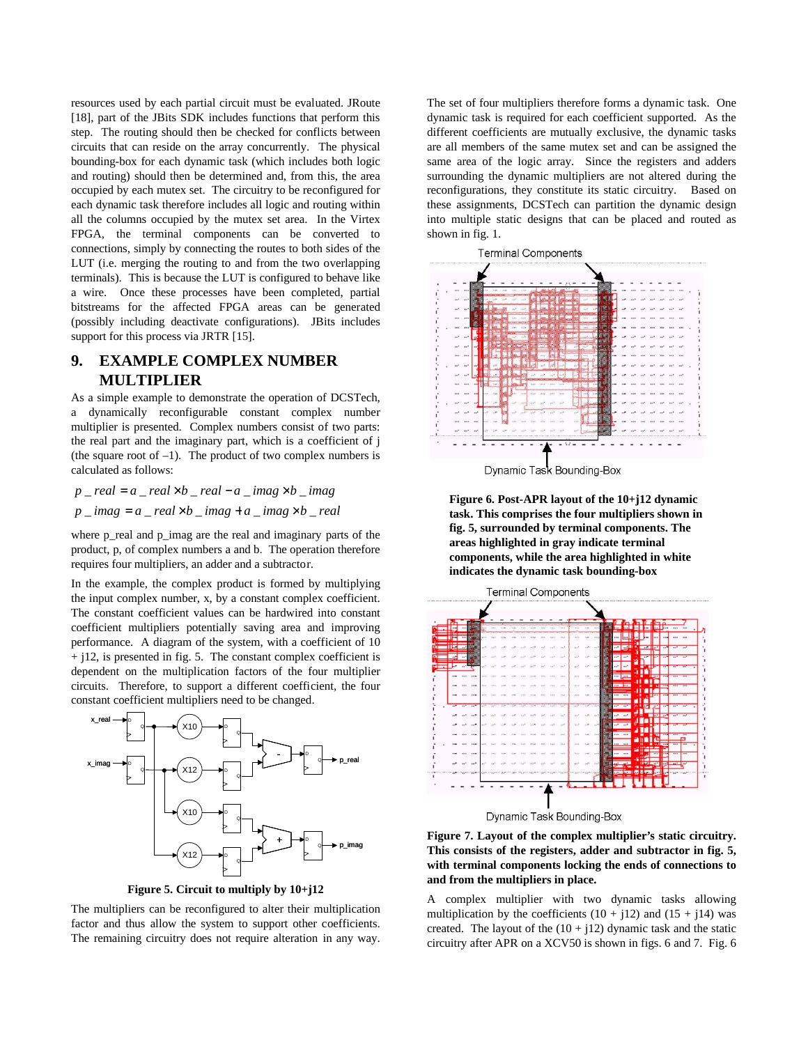resources used by each partial circuit must be evaluated. JRoute [18], part of the JBits SDK includes functions that perform this step. The routing should then be checked for conflicts between circuits that can reside on the array concurrently. The physical bounding-box for each dynamic task (which includes both logic and routing) should then be determined and, from this, the area occupied by each mutex set. The circuitry to be reconfigured for each dynamic task therefore includes all logic and routing within all the columns occupied by the mutex set area. In the Virtex FPGA, the terminal components can be converted to connections, simply by connecting the routes to both sides of the LUT (i.e. merging the routing to and from the two overlapping terminals). This is because the LUT is configured to behave like a wire. Once these processes have been completed, partial bitstreams for the affected FPGA areas can be generated (possibly including deactivate configurations). JBits includes support for this process via JRTR [15].

# **9. EXAMPLE COMPLEX NUMBER MULTIPLIER**

As a simple example to demonstrate the operation of DCSTech, a dynamically reconfigurable constant complex number multiplier is presented. Complex numbers consist of two parts: the real part and the imaginary part, which is a coefficient of j (the square root of  $-1$ ). The product of two complex numbers is calculated as follows:

 $p$  \_ *real* =  $a$  \_ *real*  $\times b$  \_ *real* −  $a$  \_ *imag*  $\times b$  \_ *imag*  $p \cdot \text{imag} = a \cdot \text{real} \times b \cdot \text{imag} + a \cdot \text{imag} \times b \cdot \text{real}$ 

where p\_real and p\_imag are the real and imaginary parts of the product, p, of complex numbers a and b. The operation therefore requires four multipliers, an adder and a subtractor.

In the example, the complex product is formed by multiplying the input complex number, x, by a constant complex coefficient. The constant coefficient values can be hardwired into constant coefficient multipliers potentially saving area and improving performance. A diagram of the system, with a coefficient of 10  $+$  j12, is presented in fig. 5. The constant complex coefficient is dependent on the multiplication factors of the four multiplier circuits. Therefore, to support a different coefficient, the four constant coefficient multipliers need to be changed.



**Figure 5. Circuit to multiply by 10+j12** 

The multipliers can be reconfigured to alter their multiplication factor and thus allow the system to support other coefficients. The remaining circuitry does not require alteration in any way.

The set of four multipliers therefore forms a dynamic task. One dynamic task is required for each coefficient supported. As the different coefficients are mutually exclusive, the dynamic tasks are all members of the same mutex set and can be assigned the same area of the logic array. Since the registers and adders surrounding the dynamic multipliers are not altered during the reconfigurations, they constitute its static circuitry. Based on these assignments, DCSTech can partition the dynamic design into multiple static designs that can be placed and routed as shown in fig. 1.



Dynamic Task Bounding-Box

**Figure 6. Post-APR layout of the 10+j12 dynamic task. This comprises the four multipliers shown in fig. 5, surrounded by terminal components. The areas highlighted in gray indicate terminal components, while the area highlighted in white indicates the dynamic task bounding-box** 





**Figure 7. Layout of the complex multiplier's static circuitry. This consists of the registers, adder and subtractor in fig. 5, with terminal components locking the ends of connections to and from the multipliers in place.** 

A complex multiplier with two dynamic tasks allowing multiplication by the coefficients  $(10 + j12)$  and  $(15 + j14)$  was created. The layout of the  $(10 + i12)$  dynamic task and the static circuitry after APR on a XCV50 is shown in figs. 6 and 7. Fig. 6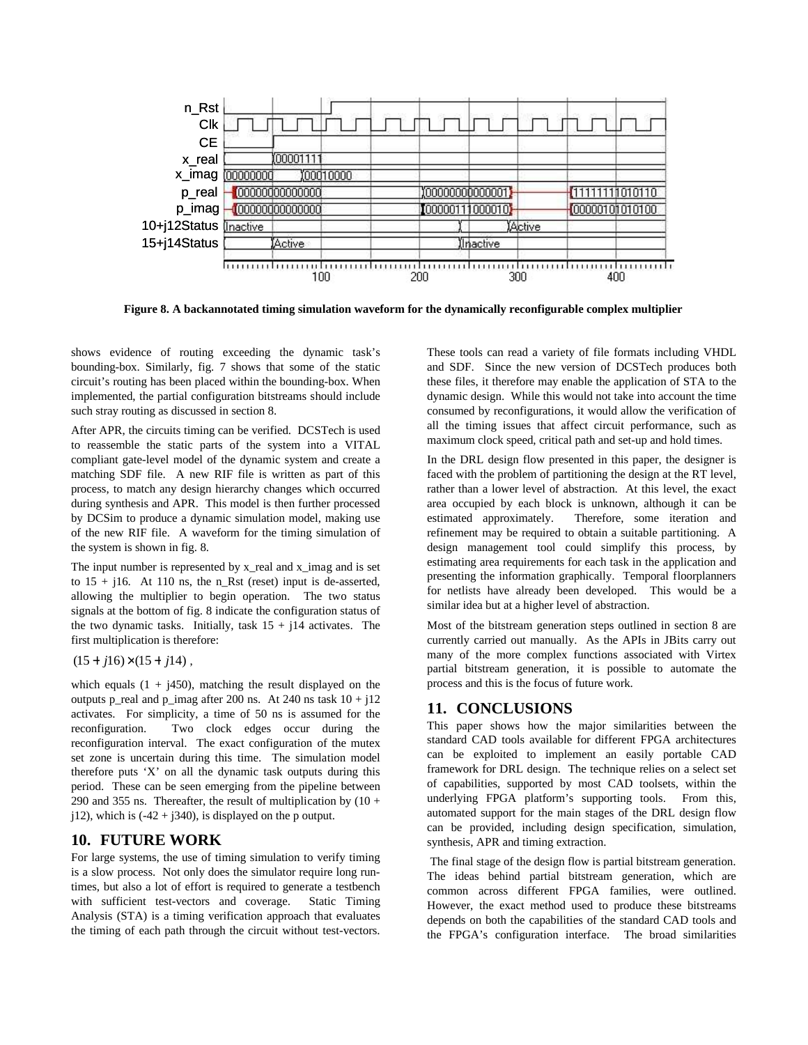

**Figure 8. A backannotated timing simulation waveform for the dynamically reconfigurable complex multiplier**

shows evidence of routing exceeding the dynamic task's bounding-box. Similarly, fig. 7 shows that some of the static circuit's routing has been placed within the bounding-box. When implemented, the partial configuration bitstreams should include such stray routing as discussed in section 8.

After APR, the circuits timing can be verified. DCSTech is used to reassemble the static parts of the system into a VITAL compliant gate-level model of the dynamic system and create a matching SDF file. A new RIF file is written as part of this process, to match any design hierarchy changes which occurred during synthesis and APR. This model is then further processed by DCSim to produce a dynamic simulation model, making use of the new RIF file. A waveform for the timing simulation of the system is shown in fig. 8.

The input number is represented by x\_real and x\_imag and is set to  $15 + i16$ . At 110 ns, the n\_Rst (reset) input is de-asserted, allowing the multiplier to begin operation. The two status signals at the bottom of fig. 8 indicate the configuration status of the two dynamic tasks. Initially, task  $15 + i14$  activates. The first multiplication is therefore:

 $(15 + j16) \times (15 + j14)$ ,

which equals  $(1 + i450)$ , matching the result displayed on the outputs p\_real and p\_imag after 200 ns. At 240 ns task  $10 + j12$ activates. For simplicity, a time of 50 ns is assumed for the reconfiguration. Two clock edges occur during the reconfiguration interval. The exact configuration of the mutex set zone is uncertain during this time. The simulation model therefore puts 'X' on all the dynamic task outputs during this period. These can be seen emerging from the pipeline between 290 and 355 ns. Thereafter, the result of multiplication by  $(10 +$  $j12$ ), which is  $(-42 + j340)$ , is displayed on the p output.

# **10. FUTURE WORK**

For large systems, the use of timing simulation to verify timing is a slow process. Not only does the simulator require long runtimes, but also a lot of effort is required to generate a testbench with sufficient test-vectors and coverage. Static Timing Analysis (STA) is a timing verification approach that evaluates the timing of each path through the circuit without test-vectors. These tools can read a variety of file formats including VHDL and SDF. Since the new version of DCSTech produces both these files, it therefore may enable the application of STA to the dynamic design. While this would not take into account the time consumed by reconfigurations, it would allow the verification of all the timing issues that affect circuit performance, such as maximum clock speed, critical path and set-up and hold times.

In the DRL design flow presented in this paper, the designer is faced with the problem of partitioning the design at the RT level, rather than a lower level of abstraction. At this level, the exact area occupied by each block is unknown, although it can be estimated approximately. Therefore, some iteration and refinement may be required to obtain a suitable partitioning. A design management tool could simplify this process, by estimating area requirements for each task in the application and presenting the information graphically. Temporal floorplanners for netlists have already been developed. This would be a similar idea but at a higher level of abstraction.

Most of the bitstream generation steps outlined in section 8 are currently carried out manually. As the APIs in JBits carry out many of the more complex functions associated with Virtex partial bitstream generation, it is possible to automate the process and this is the focus of future work.

### **11. CONCLUSIONS**

This paper shows how the major similarities between the standard CAD tools available for different FPGA architectures can be exploited to implement an easily portable CAD framework for DRL design. The technique relies on a select set of capabilities, supported by most CAD toolsets, within the underlying FPGA platform's supporting tools. From this, automated support for the main stages of the DRL design flow can be provided, including design specification, simulation, synthesis, APR and timing extraction.

 The final stage of the design flow is partial bitstream generation. The ideas behind partial bitstream generation, which are common across different FPGA families, were outlined. However, the exact method used to produce these bitstreams depends on both the capabilities of the standard CAD tools and the FPGA's configuration interface. The broad similarities